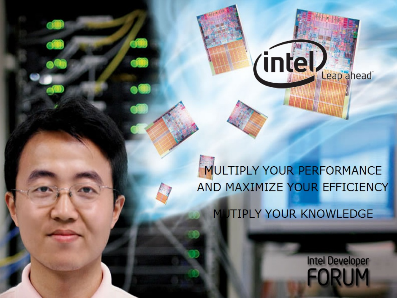**MULTIPLY YOUR PERFORMANCE** AND MAXIMIZE YOUR EFFICIENCY **MUTIPLY YOUR KNOWLEDGE** 

**USEE AND IMPROVEMENT** 

(intel)

**Intel Developer FORUM**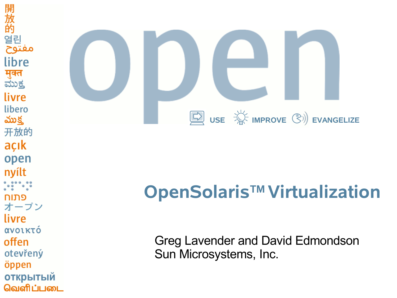



#### **OpenSolaris TM Virtualization**

Greg Lavender and David Edmondson Sun Microsystems, Inc.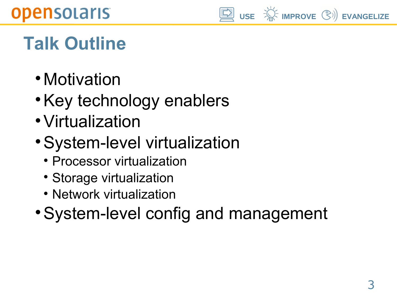

# **Talk Outline**

- Motivation
- Key technology enablers
- Virtualization
- System-level virtualization
	- Processor virtualization
	- Storage virtualization
	- Network virtualization
- System-level config and management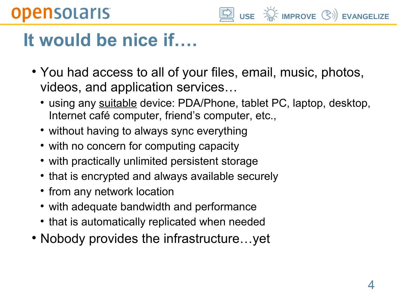

#### **It would be nice if….**

- You had access to all of your files, email, music, photos, videos, and application services…
	- using any suitable device: PDA/Phone, tablet PC, laptop, desktop, Internet café computer, friend's computer, etc.,
	- without having to always sync everything
	- with no concern for computing capacity
	- with practically unlimited persistent storage
	- that is encrypted and always available securely
	- from any network location
	- with adequate bandwidth and performance
	- that is automatically replicated when needed
- Nobody provides the infrastructure...yet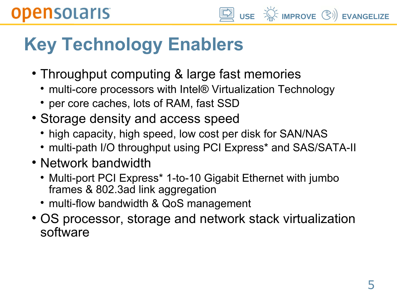

# **Key Technology Enablers**

- Throughput computing & large fast memories
	- multi-core processors with Intel® Virtualization Technology
	- per core caches, lots of RAM, fast SSD
- Storage density and access speed
	- high capacity, high speed, low cost per disk for SAN/NAS
	- multi-path I/O throughput using PCI Express<sup>\*</sup> and SAS/SATA-II
- Network bandwidth
	- Multi-port PCI Express<sup>\*</sup> 1-to-10 Gigabit Ethernet with jumbo frames & 802.3ad link aggregation
	- multi-flow bandwidth & QoS management
- OS processor, storage and network stack virtualization software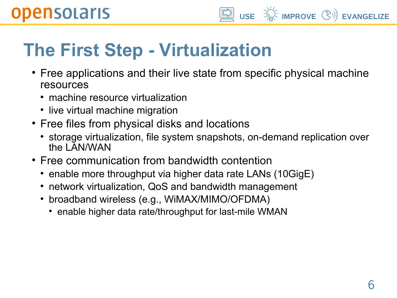

#### **The First Step - Virtualization**

- Free applications and their live state from specific physical machine resources
	- machine resource virtualization
	- live virtual machine migration
- Free files from physical disks and locations
	- storage virtualization, file system snapshots, on-demand replication over the LAN/WAN
- Free communication from bandwidth contention
	- enable more throughput via higher data rate LANs (10GigE)
	- network virtualization, QoS and bandwidth management
	- broadband wireless (e.g., WiMAX/MIMO/OFDMA)
		- enable higher data rate/throughput for last-mile WMAN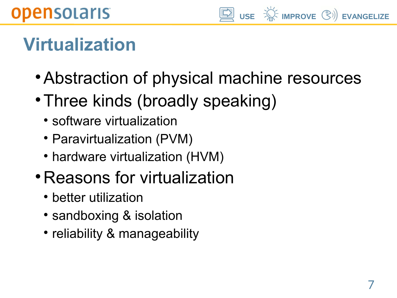

## **Virtualization**

- Abstraction of physical machine resources
- Three kinds (broadly speaking)
	- software virtualization
	- Paravirtualization (PVM)
	- hardware virtualization (HVM)
- Reasons for virtualization
	- better utilization
	- sandboxing & isolation
	- reliability & manageability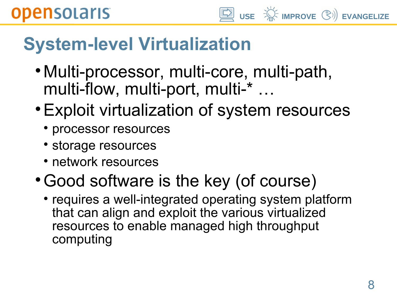- Multi-processor, multi-core, multi-path, multi-flow, multi-port, multi-\* …
- Exploit virtualization of system resources
	- processor resources
	- storage resources
	- network resources
- Good software is the key (of course)
	- requires a well-integrated operating system platform that can align and exploit the various virtualized resources to enable managed high throughput computing

**USE IMPROVE EVANGELIZE**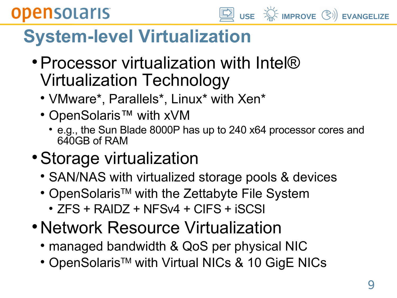#### **opensolaris**



## **System-level Virtualization**

- Processor virtualization with Intel® Virtualization Technology
	- VMware\* , Parallels\* , Linux\* with Xen\*
	- OpenSolaris™ with xVM
		- e.g., the Sun Blade 8000P has up to 240 x64 processor cores and 640GB of RAM
- Storage virtualization
	- SAN/NAS with virtualized storage pools & devices
	- OpenSolaris<sup>™</sup> with the Zettabyte File System
		- ZFS + RAIDZ + NFSv4 + CIFS + iSCSI
- Network Resource Virtualization
	- managed bandwidth & QoS per physical NIC
	- OpenSolaris<sup>™</sup> with Virtual NICs & 10 GigE NICs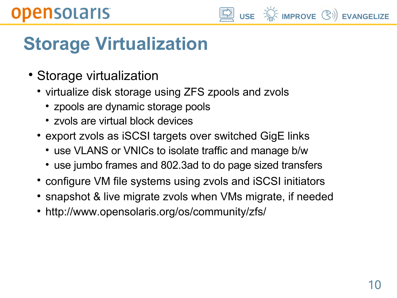

# **Storage Virtualization**

- Storage virtualization
	- virtualize disk storage using ZFS zpools and zvols
		- zpools are dynamic storage pools
		- zvols are virtual block devices
	- export zvols as iSCSI targets over switched GigE links
		- use VLANS or VNICs to isolate traffic and manage b/w
		- use jumbo frames and 802.3ad to do page sized transfers
	- configure VM file systems using zvols and iSCSI initiators
	- snapshot & live migrate zvols when VMs migrate, if needed
	- http://www.opensolaris.org/os/community/zfs/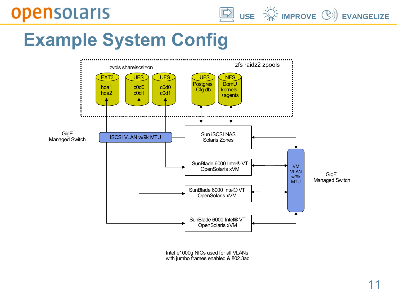#### **opensolaris**



#### **Example System Config**



Intel e1000g NICs used for all VLANs with jumbo frames enabled & 802.3ad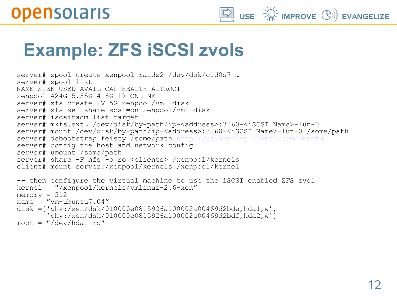

#### **Example: ZFS iSCSI zvols**

```
server# zpool create xenpool raidz2 /dev/dsk/c1d0s7 ...
server# zpool list
NAME SIZE USED AVAIL CAP HEALTH ALTROOT
xenpool 424G 5.55G 418G 1% ONLINE -
server# zfs create -V 5G xenpool/vm1-disk
server# zfs set shareiscsi=on xenpool/vm1-disk
server# iscsitadm list target
server# mkfs.ext3 /dev/disk/by-path/ip-<address>:3260-<iSCSI Name>-lun-0
server# mount /dev/disk/by-path/ip-<address>:3260-<iSCSI Name>-lun-0 /some/path
http://us.archive.ubuntu.com/ubuntu
server# config the host and network config
server# umount /some/path
server# share -F nfs -o ro=<clients> /xenpool/kernels
client# mount server:/xenpool/kernels /xenpool/kernel
-- then configure the virtual machine to use the iSCSI enabled ZFS zvol
kernel = "/xenpool/kernels/vmlinuz-2.6-xen"
memory = 512name = "vm-ubuntu7.04"
disk =['phy:/xen/dsk/010000e0815926a100002a00469d2bde,hda1,w',
       'phy:/xen/dsk/010000e0815926a100002a00469d2bdf,hda2,w']
root = \sqrt{n} /dev/hda1 ro"
```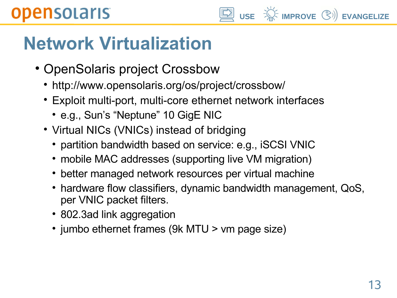

## **Network Virtualization**

- OpenSolaris project Crossbow
	- http://www.opensolaris.org/os/project/crossbow/
	- Exploit multi-port, multi-core ethernet network interfaces
		- e.g., Sun's "Neptune" 10 GigE NIC
	- Virtual NICs (VNICs) instead of bridging
		- partition bandwidth based on service: e.g., iSCSI VNIC
		- mobile MAC addresses (supporting live VM migration)
		- better managed network resources per virtual machine
		- hardware flow classifiers, dynamic bandwidth management, QoS, per VNIC packet filters.
		- 802.3ad link aggregation
		- jumbo ethernet frames (9k MTU > vm page size)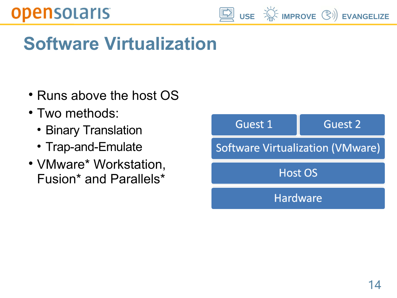

# **Software Virtualization**

- Runs above the host OS
- Two methods:
	- Binary Translation
	- Trap-and-Emulate
- VMware\* Workstation, Fusion\* and Parallels\*

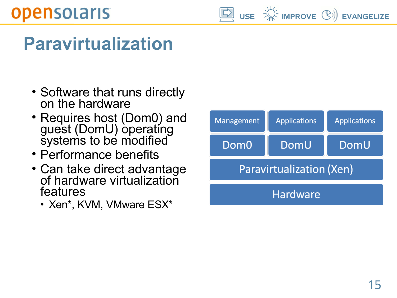#### **opensolaris**

**USE IMPROVE EVANGELIZE**

## **Paravirtualization**

- Software that runs directly on the hardware
- Requires host (Dom0) and guest (DomU) operating systems to be modified
- Performance benefits
- Can take direct advantage of hardware virtualization features
	- Xen\* , KVM, VMware ESX\*

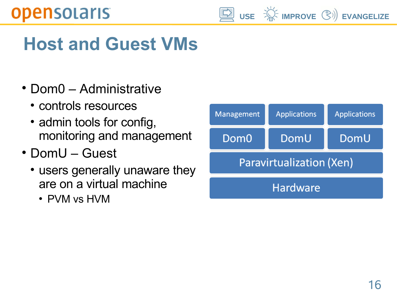**USE IMPROVE EVANGELIZE**

## **Host and Guest VMs**

- Dom0 Administrative
	- controls resources
	- admin tools for config, monitoring and management
- DomU Guest
	- users generally unaware they are on a virtual machine
		- PVM vs HVM

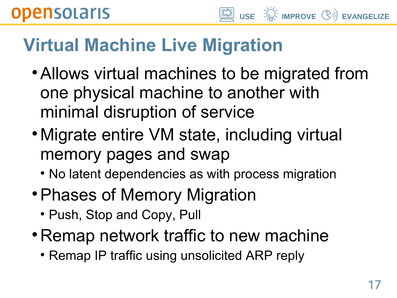**USE IMPROVE EVANGELIZE**

## **Virtual Machine Live Migration**

- Allows virtual machines to be migrated from one physical machine to another with minimal disruption of service
- Migrate entire VM state, including virtual memory pages and swap
	- No latent dependencies as with process migration
- Phases of Memory Migration
	- Push, Stop and Copy, Pull
- Remap network traffic to new machine
	- Remap IP traffic using unsolicited ARP reply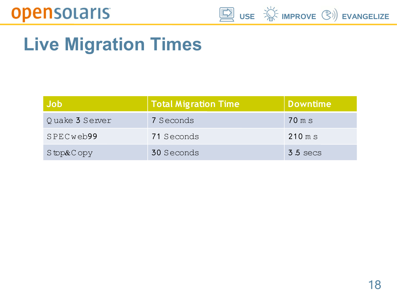

## **Live Migration Times**

| <b>Job</b>     | Total Migration Time | <b>Downtime</b> |
|----------------|----------------------|-----------------|
| Quake 3 Server | 7 Seconds            | $70$ m s        |
| SPECweb99      | 71 Seconds           | $210$ m s       |
| Stop&Copy      | 30 Seconds           | $3.5$ secs      |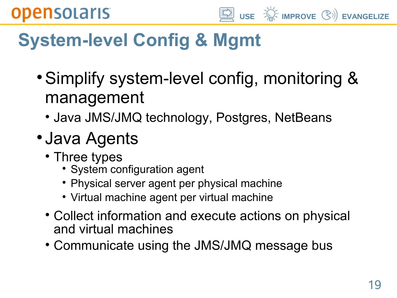

## **System-level Config & Mgmt**

- Simplify system-level config, monitoring & management
	- Java JMS/JMQ technology, Postgres, NetBeans
- Java Agents
	- Three types
		- System configuration agent
		- Physical server agent per physical machine
		- Virtual machine agent per virtual machine
	- Collect information and execute actions on physical and virtual machines
	- Communicate using the JMS/JMQ message bus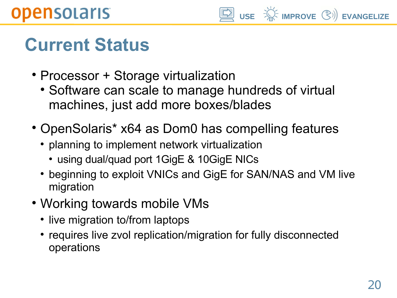

#### **Current Status**

- Processor + Storage virtualization
	- Software can scale to manage hundreds of virtual machines, just add more boxes/blades
- OpenSolaris\* x64 as Dom0 has compelling features
	- planning to implement network virtualization
		- using dual/quad port 1GigE & 10GigE NICs
	- beginning to exploit VNICs and GigE for SAN/NAS and VM live migration
- Working towards mobile VMs
	- live migration to/from laptops
	- requires live zvol replication/migration for fully disconnected operations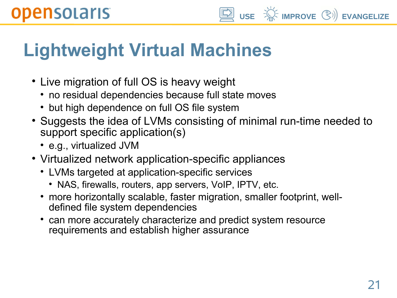

#### **Lightweight Virtual Machines**

- Live migration of full OS is heavy weight
	- no residual dependencies because full state moves
	- but high dependence on full OS file system
- Suggests the idea of LVMs consisting of minimal run-time needed to support specific application(s)
	- e.g., virtualized JVM
- Virtualized network application-specific appliances
	- LVMs targeted at application-specific services
		- NAS, firewalls, routers, app servers, VoIP, IPTV, etc.
	- more horizontally scalable, faster migration, smaller footprint, welldefined file system dependencies
	- can more accurately characterize and predict system resource requirements and establish higher assurance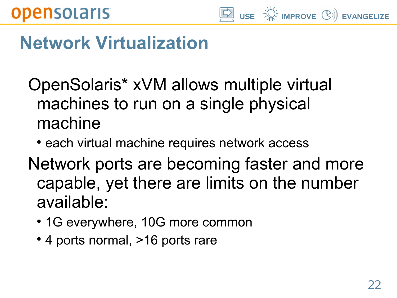

## **Network Virtualization**

OpenSolaris\* xVM allows multiple virtual machines to run on a single physical machine

- each virtual machine requires network access
- Network ports are becoming faster and more capable, yet there are limits on the number available:
	- 1G everywhere, 10G more common
	- 4 ports normal, >16 ports rare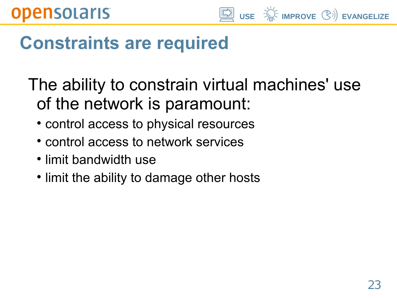

## **Constraints are required**

The ability to constrain virtual machines' use of the network is paramount:

- control access to physical resources
- control access to network services
- limit bandwidth use
- limit the ability to damage other hosts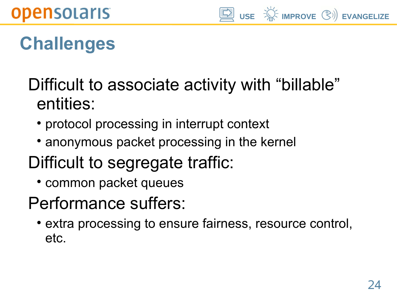

## **Challenges**

#### Difficult to associate activity with "billable" entities:

- protocol processing in interrupt context
- anonymous packet processing in the kernel
- Difficult to segregate traffic:
	- common packet queues
- Performance suffers:
	- extra processing to ensure fairness, resource control, etc.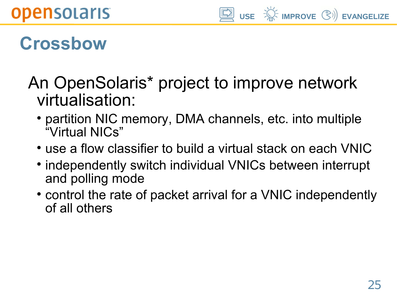

**Crossbow**

#### An OpenSolaris\* project to improve network virtualisation:

- partition NIC memory, DMA channels, etc. into multiple "Virtual NICs"
- use a flow classifier to build a virtual stack on each VNIC
- independently switch individual VNICs between interrupt and polling mode
- control the rate of packet arrival for a VNIC independently of all others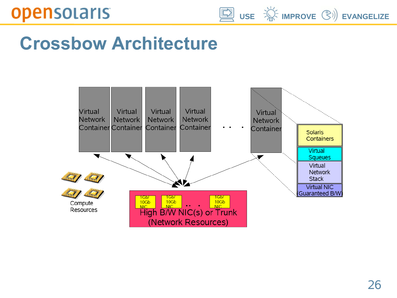

#### **Crossbow Architecture**

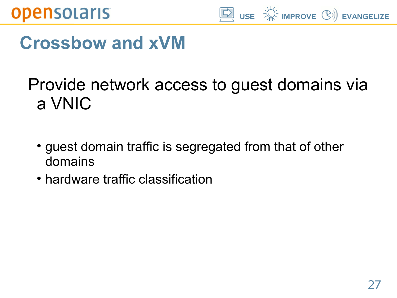

#### **Crossbow and xVM**

#### Provide network access to guest domains via a VNIC

- guest domain traffic is segregated from that of other domains
- hardware traffic classification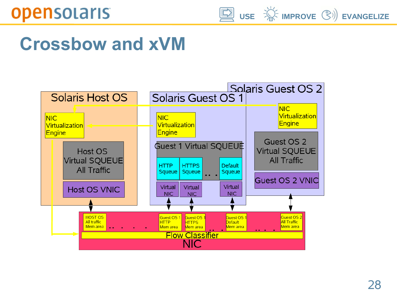

#### **Crossbow and xVM**

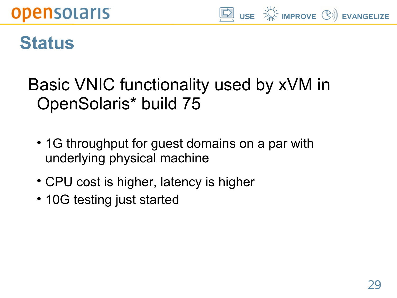

#### **Status**

#### Basic VNIC functionality used by xVM in OpenSolaris\* build 75

- 1G throughput for guest domains on a par with underlying physical machine
- CPU cost is higher, latency is higher
- 10G testing just started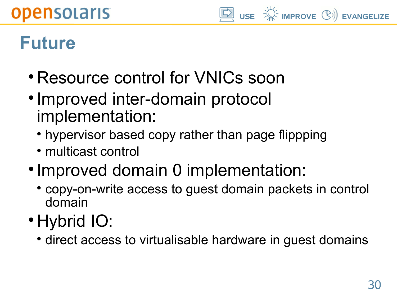

#### **Future**

- Resource control for VNICs soon
- Improved inter-domain protocol implementation:
	- hypervisor based copy rather than page flippping
	- multicast control
- Improved domain 0 implementation:
	- copy-on-write access to guest domain packets in control domain
- Hybrid IO:
	- direct access to virtualisable hardware in guest domains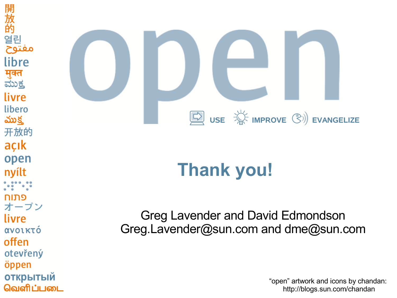



## **Thank you!**

Greg Lavender and David Edmondson Greg.Lavender@sun.com and dme@sun.com

> "open" artwork and icons by chandan: http://blogs.sun.com/chandan